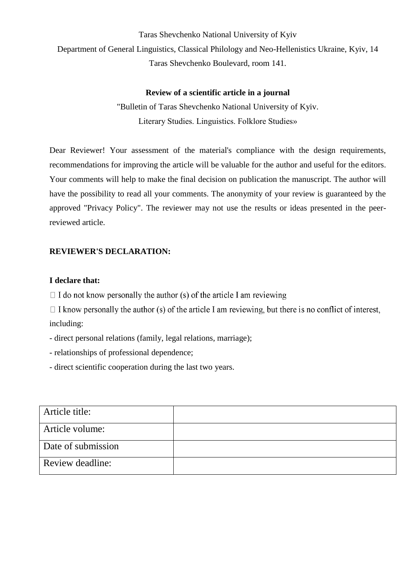Taras Shevchenko National University of Kyiv Department of General Linguistics, Classical Philology and Neo-Hellenistics Ukraine, Kyiv, 14 Taras Shevchenko Boulevard, room 141.

## **Review of a scientific article in a journal**

"Bulletin of Taras Shevchenko National University of Kyiv. Literary Studies. Linguistics. Folklore Studies»

Dear Reviewer! Your assessment of the material's compliance with the design requirements, recommendations for improving the article will be valuable for the author and useful for the editors. Your comments will help to make the final decision on publication the manuscript. The author will have the possibility to read all your comments. The anonymity of your review is guaranteed by the approved "Privacy Policy". The reviewer may not use the results or ideas presented in the peerreviewed article.

## **REVIEWER'S DECLARATION:**

## **I declare that:**

 $\Box$  I do not know personally the author (s) of the article I am reviewing

 $\Box$  I know personally the author (s) of the article I am reviewing, but there is no conflict of interest, including:

- direct personal relations (family, legal relations, marriage);

- relationships of professional dependence;

- direct scientific cooperation during the last two years.

| Article title:     |  |
|--------------------|--|
| Article volume:    |  |
| Date of submission |  |
| Review deadline:   |  |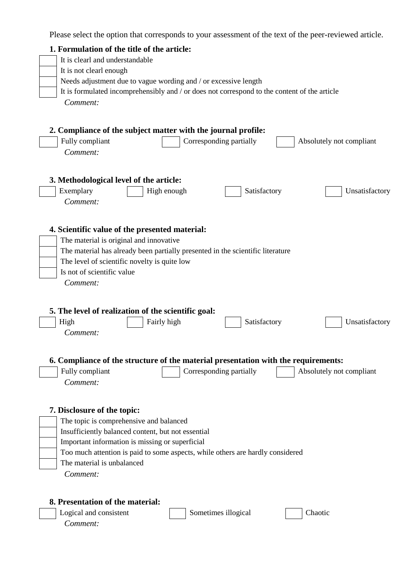Please select the option that corresponds to your assessment of the text of the peer-reviewed article.

| 1. Formulation of the title of the article:                                                  |  |  |  |  |
|----------------------------------------------------------------------------------------------|--|--|--|--|
| It is clearl and understandable                                                              |  |  |  |  |
| It is not clearl enough                                                                      |  |  |  |  |
| Needs adjustment due to vague wording and / or excessive length                              |  |  |  |  |
| It is formulated incomprehensibly and / or does not correspond to the content of the article |  |  |  |  |
| Comment:                                                                                     |  |  |  |  |
|                                                                                              |  |  |  |  |
|                                                                                              |  |  |  |  |
| 2. Compliance of the subject matter with the journal profile:                                |  |  |  |  |
| Fully compliant<br>Corresponding partially<br>Absolutely not compliant                       |  |  |  |  |
| Comment:                                                                                     |  |  |  |  |
|                                                                                              |  |  |  |  |
|                                                                                              |  |  |  |  |
| 3. Methodological level of the article:                                                      |  |  |  |  |
| Exemplary<br>High enough<br>Satisfactory<br>Unsatisfactory                                   |  |  |  |  |
| Comment:                                                                                     |  |  |  |  |
|                                                                                              |  |  |  |  |
| 4. Scientific value of the presented material:                                               |  |  |  |  |
|                                                                                              |  |  |  |  |
| The material is original and innovative                                                      |  |  |  |  |
| The material has already been partially presented in the scientific literature               |  |  |  |  |
| The level of scientific novelty is quite low                                                 |  |  |  |  |
| Is not of scientific value                                                                   |  |  |  |  |
| Comment:                                                                                     |  |  |  |  |
|                                                                                              |  |  |  |  |
|                                                                                              |  |  |  |  |
| 5. The level of realization of the scientific goal:                                          |  |  |  |  |
| High<br>Fairly high<br>Unsatisfactory<br>Satisfactory                                        |  |  |  |  |
| Comment:                                                                                     |  |  |  |  |
|                                                                                              |  |  |  |  |
| 6. Compliance of the structure of the material presentation with the requirements:           |  |  |  |  |
| Fully compliant<br>Corresponding partially<br>Absolutely not compliant                       |  |  |  |  |
| Comment:                                                                                     |  |  |  |  |
|                                                                                              |  |  |  |  |
|                                                                                              |  |  |  |  |
| 7. Disclosure of the topic:                                                                  |  |  |  |  |
| The topic is comprehensive and balanced                                                      |  |  |  |  |
| Insufficiently balanced content, but not essential                                           |  |  |  |  |
| Important information is missing or superficial                                              |  |  |  |  |
| Too much attention is paid to some aspects, while others are hardly considered               |  |  |  |  |
| The material is unbalanced                                                                   |  |  |  |  |
| Comment:                                                                                     |  |  |  |  |
|                                                                                              |  |  |  |  |
|                                                                                              |  |  |  |  |
| 8. Presentation of the material:                                                             |  |  |  |  |
| Logical and consistent<br>Sometimes illogical<br>Chaotic                                     |  |  |  |  |
| Comment:                                                                                     |  |  |  |  |
|                                                                                              |  |  |  |  |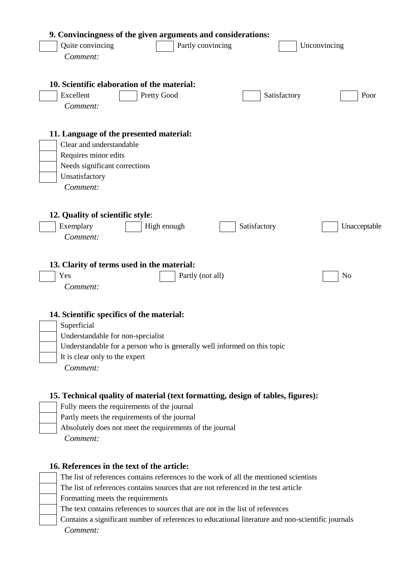| 9. Convincingness of the given arguments and considerations:<br>Quite convincing<br>Partly convincing<br>Comment:                                                                                                                                      | Unconvincing   |
|--------------------------------------------------------------------------------------------------------------------------------------------------------------------------------------------------------------------------------------------------------|----------------|
| 10. Scientific elaboration of the material:<br>Excellent<br>Pretty Good<br>Satisfactory<br>Comment:                                                                                                                                                    | Poor           |
| 11. Language of the presented material:<br>Clear and understandable<br>Requires minor edits<br>Needs significant corrections<br>Unsatisfactory<br>Comment:                                                                                             |                |
| 12. Quality of scientific style:<br>Exemplary<br>High enough<br>Satisfactory<br>Comment:                                                                                                                                                               | Unacceptable   |
| 13. Clarity of terms used in the material:<br>Yes<br>Partly (not all)<br>Comment:                                                                                                                                                                      | N <sub>o</sub> |
| 14. Scientific specifics of the material:<br>Superficial<br>Understandable for non-specialist<br>Understandable for a person who is generally well informed on this topic<br>It is clear only to the expert<br>Comment:                                |                |
| 15. Technical quality of material (text formatting, design of tables, figures):<br>Fully meets the requirements of the journal<br>Partly meets the requirements of the journal<br>Absolutely does not meet the requirements of the journal<br>Comment: |                |

# **16. References in the text of the article:**

| The list of references contains references to the work of all the mentioned scientists            |
|---------------------------------------------------------------------------------------------------|
| The list of references contains sources that are not referenced in the test article               |
| Formatting meets the requirements                                                                 |
| The text contains references to sources that are not in the list of references                    |
| Contains a significant number of references to educational literature and non-scientific journals |
| Comment:                                                                                          |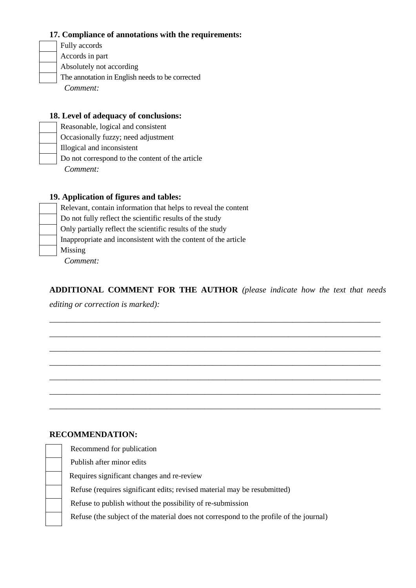## **17. Compliance of annotations with the requirements:**

Fully accords Accords in part Absolutely not according The annotation in English needs to be corrected *Comment:*

#### **18. Level of adequacy of conclusions:**

Reasonable, logical and consistent Occasionally fuzzy; need adjustment Illogical and inconsistent Do not correspond to the content of the article *Comment:*

#### **19. Application of figures and tables:**

Relevant, contain information that helps to reveal the content Do not fully reflect the scientific results of the study Only partially reflect the scientific results of the study Inappropriate and inconsistent with the content of the article Missing *Comment:*

**ADDITIONAL COMMENT FOR THE AUTHOR** *(please indicate how the text that needs* 

\_\_\_\_\_\_\_\_\_\_\_\_\_\_\_\_\_\_\_\_\_\_\_\_\_\_\_\_\_\_\_\_\_\_\_\_\_\_\_\_\_\_\_\_\_\_\_\_\_\_\_\_\_\_\_\_\_\_\_\_\_\_\_\_\_\_\_\_\_\_\_\_\_\_\_\_\_\_\_

\_\_\_\_\_\_\_\_\_\_\_\_\_\_\_\_\_\_\_\_\_\_\_\_\_\_\_\_\_\_\_\_\_\_\_\_\_\_\_\_\_\_\_\_\_\_\_\_\_\_\_\_\_\_\_\_\_\_\_\_\_\_\_\_\_\_\_\_\_\_\_\_\_\_\_\_\_\_\_

\_\_\_\_\_\_\_\_\_\_\_\_\_\_\_\_\_\_\_\_\_\_\_\_\_\_\_\_\_\_\_\_\_\_\_\_\_\_\_\_\_\_\_\_\_\_\_\_\_\_\_\_\_\_\_\_\_\_\_\_\_\_\_\_\_\_\_\_\_\_\_\_\_\_\_\_\_\_\_

\_\_\_\_\_\_\_\_\_\_\_\_\_\_\_\_\_\_\_\_\_\_\_\_\_\_\_\_\_\_\_\_\_\_\_\_\_\_\_\_\_\_\_\_\_\_\_\_\_\_\_\_\_\_\_\_\_\_\_\_\_\_\_\_\_\_\_\_\_\_\_\_\_\_\_\_\_\_\_

\_\_\_\_\_\_\_\_\_\_\_\_\_\_\_\_\_\_\_\_\_\_\_\_\_\_\_\_\_\_\_\_\_\_\_\_\_\_\_\_\_\_\_\_\_\_\_\_\_\_\_\_\_\_\_\_\_\_\_\_\_\_\_\_\_\_\_\_\_\_\_\_\_\_\_\_\_\_\_

\_\_\_\_\_\_\_\_\_\_\_\_\_\_\_\_\_\_\_\_\_\_\_\_\_\_\_\_\_\_\_\_\_\_\_\_\_\_\_\_\_\_\_\_\_\_\_\_\_\_\_\_\_\_\_\_\_\_\_\_\_\_\_\_\_\_\_\_\_\_\_\_\_\_\_\_\_\_\_

\_\_\_\_\_\_\_\_\_\_\_\_\_\_\_\_\_\_\_\_\_\_\_\_\_\_\_\_\_\_\_\_\_\_\_\_\_\_\_\_\_\_\_\_\_\_\_\_\_\_\_\_\_\_\_\_\_\_\_\_\_\_\_\_\_\_\_\_\_\_\_\_\_\_\_\_\_\_\_

*editing or correction is marked):*

#### **RECOMMENDATION:**

| Refuse (the subject of the material does not correspond to the profile of the journal) |
|----------------------------------------------------------------------------------------|
|                                                                                        |